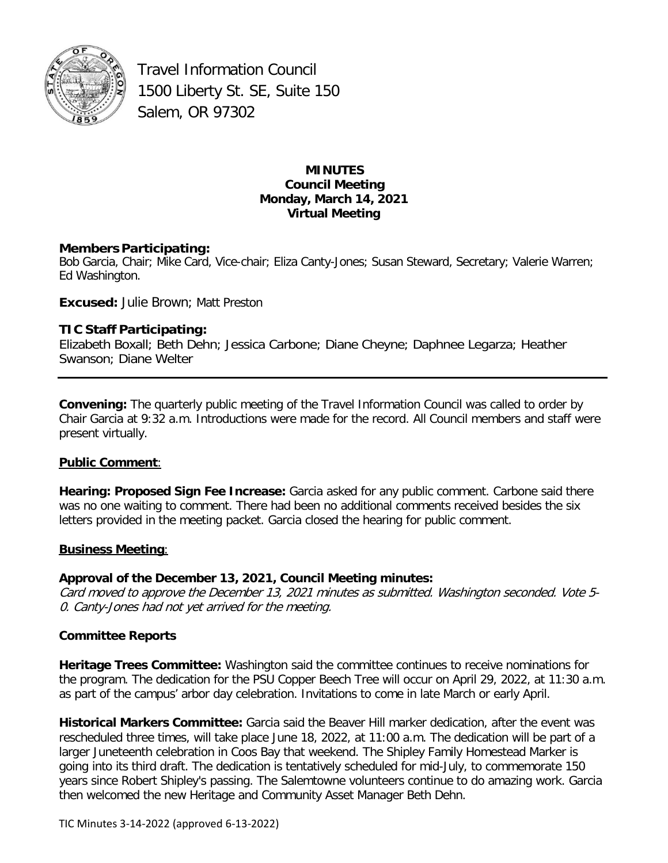

Travel Information Council 1500 Liberty St. SE, Suite 150 Salem, OR 97302

### **MINUTES Council Meeting Monday, March 14, 2021 Virtual Meeting**

### **Members Participating:**

Bob Garcia, Chair; Mike Card, Vice-chair; Eliza Canty-Jones; Susan Steward, Secretary; Valerie Warren; Ed Washington.

**Excused:** Julie Brown; Matt Preston

# **TIC Staff Participating:**

Elizabeth Boxall; Beth Dehn; Jessica Carbone; Diane Cheyne; Daphnee Legarza; Heather Swanson; Diane Welter

**Convening:** The quarterly public meeting of the Travel Information Council was called to order by Chair Garcia at 9:32 a.m. Introductions were made for the record. All Council members and staff were present virtually.

#### **Public Comment**:

**Hearing: Proposed Sign Fee Increase:** Garcia asked for any public comment. Carbone said there was no one waiting to comment. There had been no additional comments received besides the six letters provided in the meeting packet. Garcia closed the hearing for public comment.

#### **Business Meeting**:

# **Approval of the December 13, 2021, Council Meeting minutes:**

Card moved to approve the December 13, 2021 minutes as submitted. Washington seconded. Vote 5- 0. Canty-Jones had not yet arrived for the meeting.

#### **Committee Reports**

**Heritage Trees Committee:** Washington said the committee continues to receive nominations for the program. The dedication for the PSU Copper Beech Tree will occur on April 29, 2022, at 11:30 a.m. as part of the campus' arbor day celebration. Invitations to come in late March or early April.

**Historical Markers Committee:** Garcia said the Beaver Hill marker dedication, after the event was rescheduled three times, will take place June 18, 2022, at 11:00 a.m. The dedication will be part of a larger Juneteenth celebration in Coos Bay that weekend. The Shipley Family Homestead Marker is going into its third draft. The dedication is tentatively scheduled for mid-July, to commemorate 150 years since Robert Shipley's passing. The Salemtowne volunteers continue to do amazing work. Garcia then welcomed the new Heritage and Community Asset Manager Beth Dehn.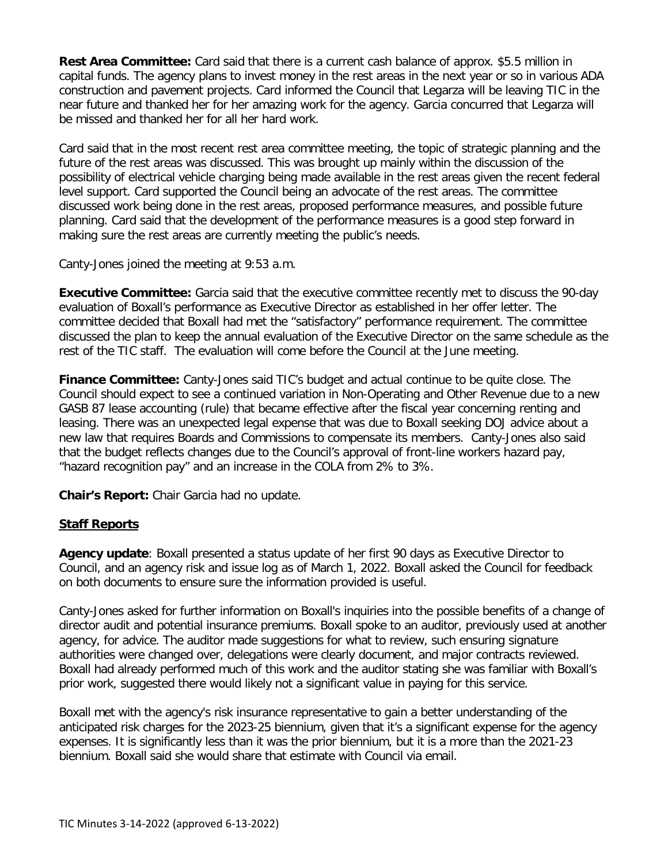**Rest Area Committee:** Card said that there is a current cash balance of approx. \$5.5 million in capital funds. The agency plans to invest money in the rest areas in the next year or so in various ADA construction and pavement projects. Card informed the Council that Legarza will be leaving TIC in the near future and thanked her for her amazing work for the agency. Garcia concurred that Legarza will be missed and thanked her for all her hard work.

Card said that in the most recent rest area committee meeting, the topic of strategic planning and the future of the rest areas was discussed. This was brought up mainly within the discussion of the possibility of electrical vehicle charging being made available in the rest areas given the recent federal level support. Card supported the Council being an advocate of the rest areas. The committee discussed work being done in the rest areas, proposed performance measures, and possible future planning. Card said that the development of the performance measures is a good step forward in making sure the rest areas are currently meeting the public's needs.

Canty-Jones joined the meeting at 9:53 a.m.

**Executive Committee:** Garcia said that the executive committee recently met to discuss the 90-day evaluation of Boxall's performance as Executive Director as established in her offer letter. The committee decided that Boxall had met the "satisfactory" performance requirement. The committee discussed the plan to keep the annual evaluation of the Executive Director on the same schedule as the rest of the TIC staff. The evaluation will come before the Council at the June meeting.

**Finance Committee:** Canty-Jones said TIC's budget and actual continue to be quite close. The Council should expect to see a continued variation in Non-Operating and Other Revenue due to a new GASB 87 lease accounting (rule) that became effective after the fiscal year concerning renting and leasing. There was an unexpected legal expense that was due to Boxall seeking DOJ advice about a new law that requires Boards and Commissions to compensate its members. Canty-Jones also said that the budget reflects changes due to the Council's approval of front-line workers hazard pay, "hazard recognition pay" and an increase in the COLA from 2% to 3%.

**Chair's Report:** Chair Garcia had no update.

#### **Staff Reports**

**Agency update**: Boxall presented a status update of her first 90 days as Executive Director to Council, and an agency risk and issue log as of March 1, 2022. Boxall asked the Council for feedback on both documents to ensure sure the information provided is useful.

Canty-Jones asked for further information on Boxall's inquiries into the possible benefits of a change of director audit and potential insurance premiums. Boxall spoke to an auditor, previously used at another agency, for advice. The auditor made suggestions for what to review, such ensuring signature authorities were changed over, delegations were clearly document, and major contracts reviewed. Boxall had already performed much of this work and the auditor stating she was familiar with Boxall's prior work, suggested there would likely not a significant value in paying for this service.

Boxall met with the agency's risk insurance representative to gain a better understanding of the anticipated risk charges for the 2023-25 biennium, given that it's a significant expense for the agency expenses. It is significantly less than it was the prior biennium, but it is a more than the 2021-23 biennium. Boxall said she would share that estimate with Council via email.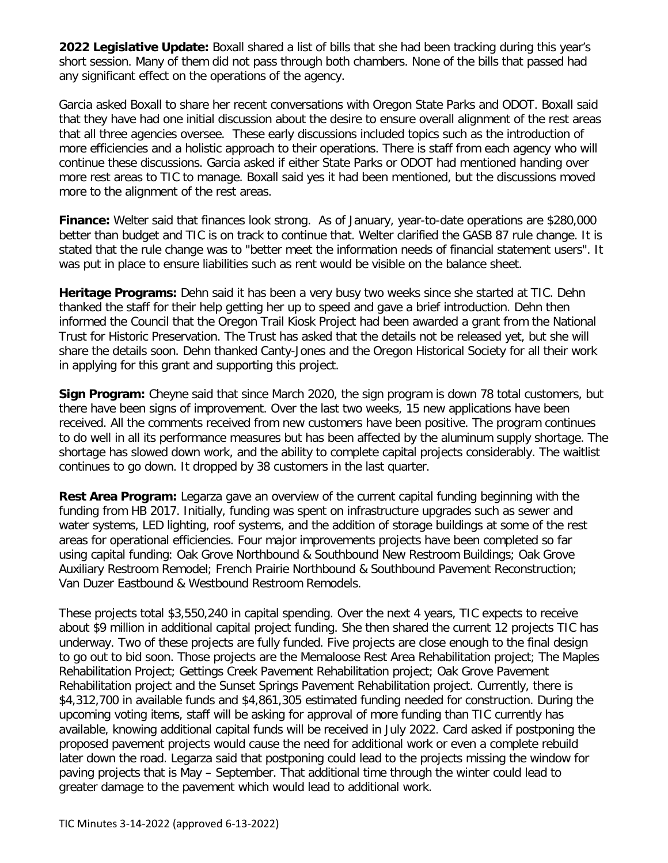**2022 Legislative Update:** Boxall shared a list of bills that she had been tracking during this year's short session. Many of them did not pass through both chambers. None of the bills that passed had any significant effect on the operations of the agency.

Garcia asked Boxall to share her recent conversations with Oregon State Parks and ODOT. Boxall said that they have had one initial discussion about the desire to ensure overall alignment of the rest areas that all three agencies oversee. These early discussions included topics such as the introduction of more efficiencies and a holistic approach to their operations. There is staff from each agency who will continue these discussions. Garcia asked if either State Parks or ODOT had mentioned handing over more rest areas to TIC to manage. Boxall said yes it had been mentioned, but the discussions moved more to the alignment of the rest areas.

**Finance:** Welter said that finances look strong. As of January, year-to-date operations are \$280,000 better than budget and TIC is on track to continue that. Welter clarified the GASB 87 rule change. It is stated that the rule change was to "better meet the information needs of financial statement users". It was put in place to ensure liabilities such as rent would be visible on the balance sheet.

**Heritage Programs:** Dehn said it has been a very busy two weeks since she started at TIC. Dehn thanked the staff for their help getting her up to speed and gave a brief introduction. Dehn then informed the Council that the Oregon Trail Kiosk Project had been awarded a grant from the National Trust for Historic Preservation. The Trust has asked that the details not be released yet, but she will share the details soon. Dehn thanked Canty-Jones and the Oregon Historical Society for all their work in applying for this grant and supporting this project.

**Sign Program:** Cheyne said that since March 2020, the sign program is down 78 total customers, but there have been signs of improvement. Over the last two weeks, 15 new applications have been received. All the comments received from new customers have been positive. The program continues to do well in all its performance measures but has been affected by the aluminum supply shortage. The shortage has slowed down work, and the ability to complete capital projects considerably. The waitlist continues to go down. It dropped by 38 customers in the last quarter.

**Rest Area Program:** Legarza gave an overview of the current capital funding beginning with the funding from HB 2017. Initially, funding was spent on infrastructure upgrades such as sewer and water systems, LED lighting, roof systems, and the addition of storage buildings at some of the rest areas for operational efficiencies. Four major improvements projects have been completed so far using capital funding: Oak Grove Northbound & Southbound New Restroom Buildings; Oak Grove Auxiliary Restroom Remodel; French Prairie Northbound & Southbound Pavement Reconstruction; Van Duzer Eastbound & Westbound Restroom Remodels.

These projects total \$3,550,240 in capital spending. Over the next 4 years, TIC expects to receive about \$9 million in additional capital project funding. She then shared the current 12 projects TIC has underway. Two of these projects are fully funded. Five projects are close enough to the final design to go out to bid soon. Those projects are the Memaloose Rest Area Rehabilitation project; The Maples Rehabilitation Project; Gettings Creek Pavement Rehabilitation project; Oak Grove Pavement Rehabilitation project and the Sunset Springs Pavement Rehabilitation project. Currently, there is \$4,312,700 in available funds and \$4,861,305 estimated funding needed for construction. During the upcoming voting items, staff will be asking for approval of more funding than TIC currently has available, knowing additional capital funds will be received in July 2022. Card asked if postponing the proposed pavement projects would cause the need for additional work or even a complete rebuild later down the road. Legarza said that postponing could lead to the projects missing the window for paving projects that is May – September. That additional time through the winter could lead to greater damage to the pavement which would lead to additional work.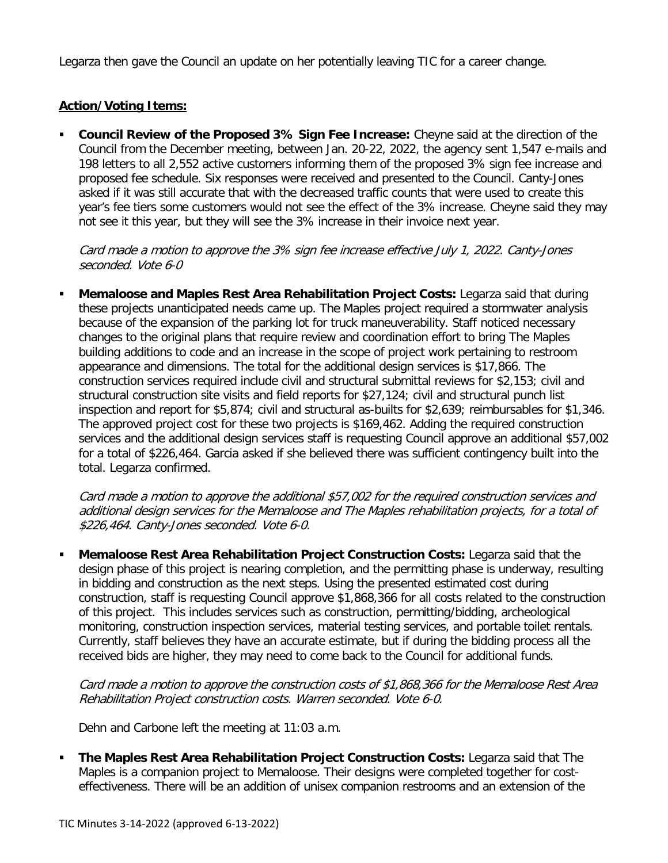Legarza then gave the Council an update on her potentially leaving TIC for a career change.

### **Action/Voting Items:**

 **Council Review of the Proposed 3% Sign Fee Increase:** Cheyne said at the direction of the Council from the December meeting, between Jan. 20-22, 2022, the agency sent 1,547 e-mails and 198 letters to all 2,552 active customers informing them of the proposed 3% sign fee increase and proposed fee schedule. Six responses were received and presented to the Council. Canty-Jones asked if it was still accurate that with the decreased traffic counts that were used to create this year's fee tiers some customers would not see the effect of the 3% increase. Cheyne said they may not see it this year, but they will see the 3% increase in their invoice next year.

Card made a motion to approve the 3% sign fee increase effective July 1, 2022. Canty-Jones seconded. Vote 6-0

 **Memaloose and Maples Rest Area Rehabilitation Project Costs:** Legarza said that during these projects unanticipated needs came up. The Maples project required a stormwater analysis because of the expansion of the parking lot for truck maneuverability. Staff noticed necessary changes to the original plans that require review and coordination effort to bring The Maples building additions to code and an increase in the scope of project work pertaining to restroom appearance and dimensions. The total for the additional design services is \$17,866. The construction services required include civil and structural submittal reviews for \$2,153; civil and structural construction site visits and field reports for \$27,124; civil and structural punch list inspection and report for \$5,874; civil and structural as-builts for \$2,639; reimbursables for \$1,346. The approved project cost for these two projects is \$169,462. Adding the required construction services and the additional design services staff is requesting Council approve an additional \$57,002 for a total of \$226,464. Garcia asked if she believed there was sufficient contingency built into the total. Legarza confirmed.

Card made a motion to approve the additional \$57,002 for the required construction services and additional design services for the Memaloose and The Maples rehabilitation projects, for a total of \$226,464. Canty-Jones seconded. Vote 6-0.

 **Memaloose Rest Area Rehabilitation Project Construction Costs:** Legarza said that the design phase of this project is nearing completion, and the permitting phase is underway, resulting in bidding and construction as the next steps. Using the presented estimated cost during construction, staff is requesting Council approve \$1,868,366 for all costs related to the construction of this project. This includes services such as construction, permitting/bidding, archeological monitoring, construction inspection services, material testing services, and portable toilet rentals. Currently, staff believes they have an accurate estimate, but if during the bidding process all the received bids are higher, they may need to come back to the Council for additional funds.

Card made a motion to approve the construction costs of \$1,868,366 for the Memaloose Rest Area Rehabilitation Project construction costs. Warren seconded. Vote 6-0.

Dehn and Carbone left the meeting at 11:03 a.m.

**The Maples Rest Area Rehabilitation Project Construction Costs: Legarza said that The** Maples is a companion project to Memaloose. Their designs were completed together for costeffectiveness. There will be an addition of unisex companion restrooms and an extension of the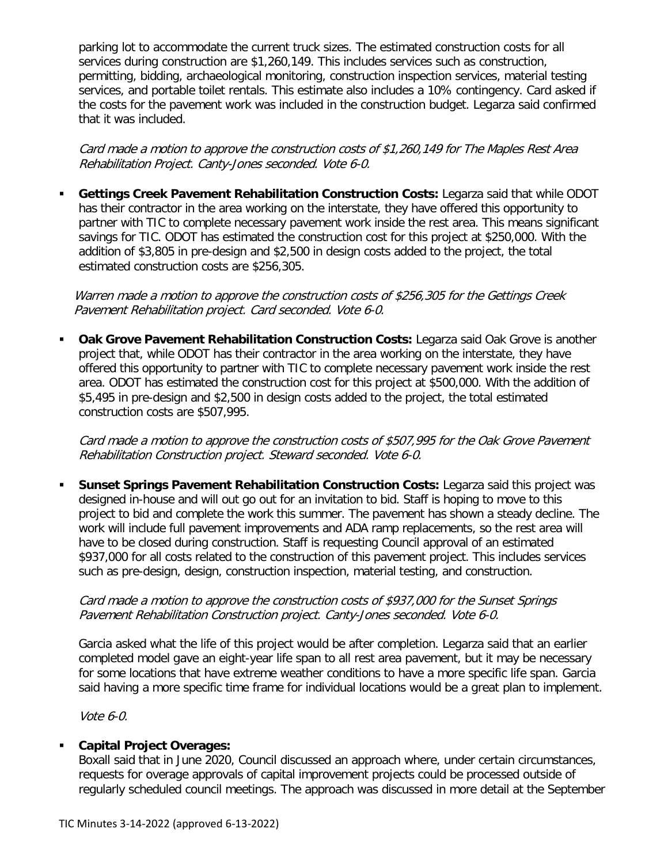parking lot to accommodate the current truck sizes. The estimated construction costs for all services during construction are \$1,260,149. This includes services such as construction, permitting, bidding, archaeological monitoring, construction inspection services, material testing services, and portable toilet rentals. This estimate also includes a 10% contingency. Card asked if the costs for the pavement work was included in the construction budget. Legarza said confirmed that it was included.

Card made a motion to approve the construction costs of \$1,260,149 for The Maples Rest Area Rehabilitation Project. Canty-Jones seconded. Vote 6-0.

 **Gettings Creek Pavement Rehabilitation Construction Costs:** Legarza said that while ODOT has their contractor in the area working on the interstate, they have offered this opportunity to partner with TIC to complete necessary pavement work inside the rest area. This means significant savings for TIC. ODOT has estimated the construction cost for this project at \$250,000. With the addition of \$3,805 in pre-design and \$2,500 in design costs added to the project, the total estimated construction costs are \$256,305.

Warren made a motion to approve the construction costs of \$256,305 for the Gettings Creek Pavement Rehabilitation project. Card seconded. Vote 6-0.

 **Oak Grove Pavement Rehabilitation Construction Costs:** Legarza said Oak Grove is another project that, while ODOT has their contractor in the area working on the interstate, they have offered this opportunity to partner with TIC to complete necessary pavement work inside the rest area. ODOT has estimated the construction cost for this project at \$500,000. With the addition of \$5,495 in pre-design and \$2,500 in design costs added to the project, the total estimated construction costs are \$507,995.

Card made a motion to approve the construction costs of \$507,995 for the Oak Grove Pavement Rehabilitation Construction project. Steward seconded. Vote 6-0.

 **Sunset Springs Pavement Rehabilitation Construction Costs:** Legarza said this project was designed in-house and will out go out for an invitation to bid. Staff is hoping to move to this project to bid and complete the work this summer. The pavement has shown a steady decline. The work will include full pavement improvements and ADA ramp replacements, so the rest area will have to be closed during construction. Staff is requesting Council approval of an estimated \$937,000 for all costs related to the construction of this pavement project. This includes services such as pre-design, design, construction inspection, material testing, and construction.

#### Card made a motion to approve the construction costs of \$937,000 for the Sunset Springs Pavement Rehabilitation Construction project. Canty-Jones seconded. Vote 6-0.

Garcia asked what the life of this project would be after completion. Legarza said that an earlier completed model gave an eight-year life span to all rest area pavement, but it may be necessary for some locations that have extreme weather conditions to have a more specific life span. Garcia said having a more specific time frame for individual locations would be a great plan to implement.

Vote 6-0.

# **Capital Project Overages:**

Boxall said that in June 2020, Council discussed an approach where, under certain circumstances, requests for overage approvals of capital improvement projects could be processed outside of regularly scheduled council meetings. The approach was discussed in more detail at the September